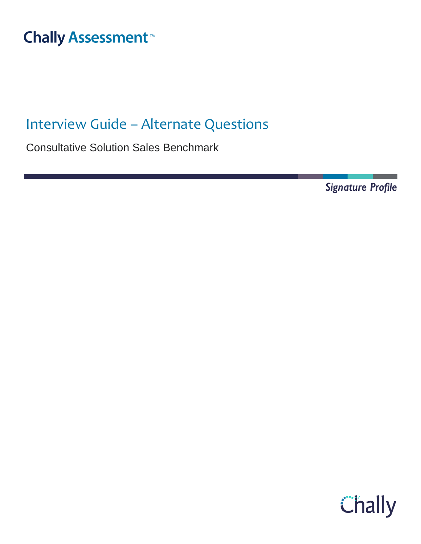#### Interview Guide – Alternate Thall

# Interview Guide – Alternate Questions

Consultative Solution Sales Benchmark

**Signature Profile** 

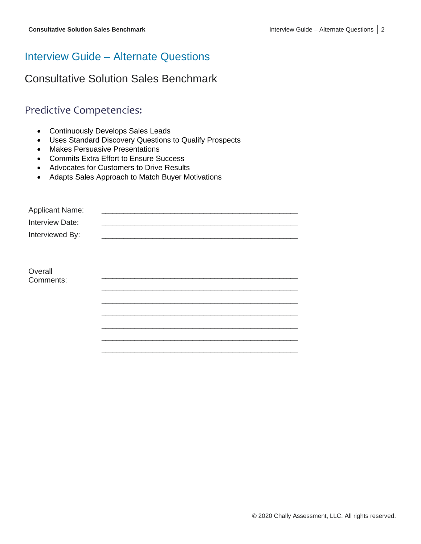# Interview Guide – Alternate Questions

# Consultative Solution Sales Benchmark

# Predictive Competencies:

- Continuously Develops Sales Leads
- Uses Standard Discovery Questions to Qualify Prospects
- Makes Persuasive Presentations
- Commits Extra Effort to Ensure Success
- Advocates for Customers to Drive Results
- Adapts Sales Approach to Match Buyer Motivations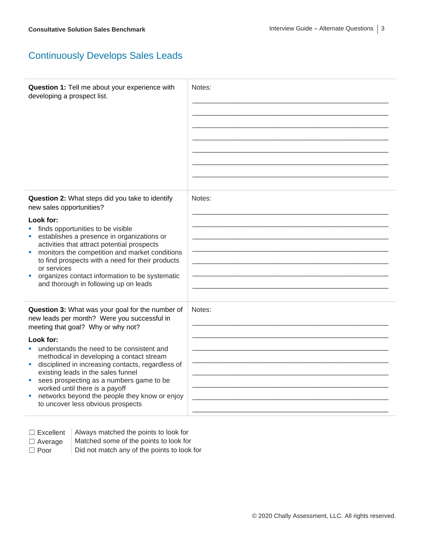## Continuously Develops Sales Leads

| Question 1: Tell me about your experience with<br>developing a prospect list.                                                                                                                                                                                                                                                                                                                                                                                                                                                 | Notes: |
|-------------------------------------------------------------------------------------------------------------------------------------------------------------------------------------------------------------------------------------------------------------------------------------------------------------------------------------------------------------------------------------------------------------------------------------------------------------------------------------------------------------------------------|--------|
| Question 2: What steps did you take to identify<br>new sales opportunities?<br>Look for:<br>finds opportunities to be visible<br>establishes a presence in organizations or<br>activities that attract potential prospects<br>monitors the competition and market conditions<br>a,<br>to find prospects with a need for their products<br>or services<br>organizes contact information to be systematic<br>ш<br>and thorough in following up on leads                                                                         | Notes: |
| Question 3: What was your goal for the number of<br>new leads per month? Were you successful in<br>meeting that goal? Why or why not?<br>Look for:<br>understands the need to be consistent and<br>a.<br>methodical in developing a contact stream<br>disciplined in increasing contacts, regardless of<br>u,<br>existing leads in the sales funnel<br>sees prospecting as a numbers game to be<br>×,<br>worked until there is a payoff<br>networks beyond the people they know or enjoy<br>to uncover less obvious prospects | Notes: |

- □ Excellent | Always matched the points to look for
- 
- 
- $\Box$  Average  $\parallel$  Matched some of the points to look for
- $\Box$  Poor  $\Box$  Did not match any of the points to look for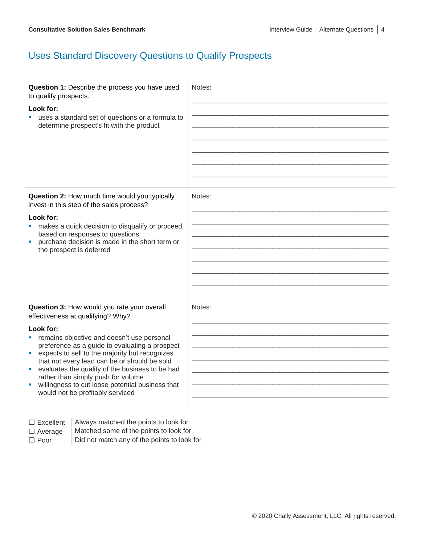## Uses Standard Discovery Questions to Qualify Prospects

| Question 1: Describe the process you have used<br>to qualify prospects.<br>Look for:<br>uses a standard set of questions or a formula to<br>determine prospect's fit with the product | Notes: |
|---------------------------------------------------------------------------------------------------------------------------------------------------------------------------------------|--------|
| Question 2: How much time would you typically                                                                                                                                         | Notes: |
| invest in this step of the sales process?                                                                                                                                             |        |
| Look for:                                                                                                                                                                             |        |
| makes a quick decision to disqualify or proceed<br>based on responses to questions                                                                                                    |        |
| purchase decision is made in the short term or                                                                                                                                        |        |
| the prospect is deferred                                                                                                                                                              |        |
|                                                                                                                                                                                       |        |
|                                                                                                                                                                                       |        |
|                                                                                                                                                                                       |        |
|                                                                                                                                                                                       |        |
| Question 3: How would you rate your overall<br>effectiveness at qualifying? Why?                                                                                                      | Notes: |
| Look for:                                                                                                                                                                             |        |
| remains objective and doesn't use personal<br><b>College</b>                                                                                                                          |        |
| preference as a guide to evaluating a prospect<br>expects to sell to the majority but recognizes<br>m.                                                                                |        |
| that not every lead can be or should be sold                                                                                                                                          |        |
| evaluates the quality of the business to be had<br>ш<br>rather than simply push for volume                                                                                            |        |
| willingness to cut loose potential business that                                                                                                                                      |        |
| would not be profitably serviced                                                                                                                                                      |        |
|                                                                                                                                                                                       |        |

| Excellent |
|-----------|
|-----------|

Always matched the points to look for

- $\Box$  Average  $\parallel$  Matched some of the points to look for
- 

 $\Box$  Poor  $\Box$  Did not match any of the points to look for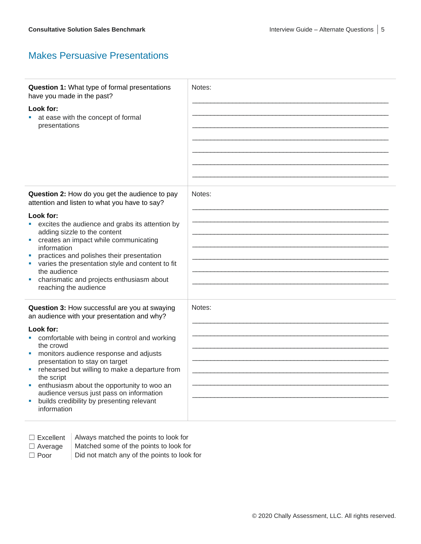#### Makes Persuasive Presentations

| Question 1: What type of formal presentations<br>have you made in the past?<br>Look for:<br>at ease with the concept of formal<br>presentations                                                                                                                                                                                                                                                                                                                                           | Notes: |
|-------------------------------------------------------------------------------------------------------------------------------------------------------------------------------------------------------------------------------------------------------------------------------------------------------------------------------------------------------------------------------------------------------------------------------------------------------------------------------------------|--------|
| Question 2: How do you get the audience to pay<br>attention and listen to what you have to say?<br>Look for:<br>excites the audience and grabs its attention by<br>adding sizzle to the content<br>creates an impact while communicating<br>ш<br>information<br>practices and polishes their presentation<br>varies the presentation style and content to fit<br>the audience<br>charismatic and projects enthusiasm about<br>reaching the audience                                       | Notes: |
| Question 3: How successful are you at swaying<br>an audience with your presentation and why?<br>Look for:<br>comfortable with being in control and working<br>the crowd<br>monitors audience response and adjusts<br>M.<br>presentation to stay on target<br>rehearsed but willing to make a departure from<br>the script<br>enthusiasm about the opportunity to woo an<br>ш<br>audience versus just pass on information<br>builds credibility by presenting relevant<br>ш<br>information | Notes: |

 $\Box$  Excellent | Always matched the points to look for

- $\Box$  Average  $\parallel$  Matched some of the points to look for
- $\Box$  Poor  $\Box$  Did not match any of the points to look for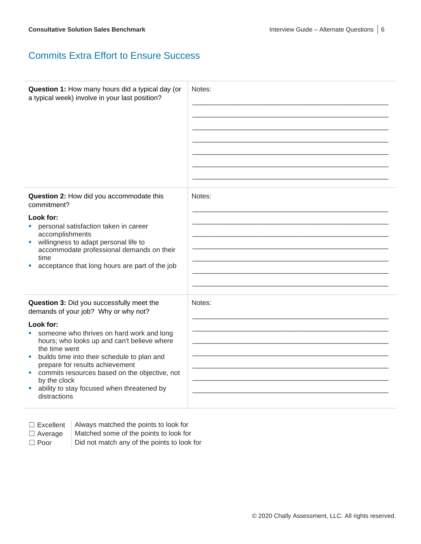#### Commits Extra Effort to Ensure Success

| Question 1: How many hours did a typical day (or<br>a typical week) involve in your last position?                                                                                                                                                                                                                                                                                                                                                      | Notes: |
|---------------------------------------------------------------------------------------------------------------------------------------------------------------------------------------------------------------------------------------------------------------------------------------------------------------------------------------------------------------------------------------------------------------------------------------------------------|--------|
| Question 2: How did you accommodate this<br>commitment?<br>Look for:<br>personal satisfaction taken in career<br>u,<br>accomplishments<br>willingness to adapt personal life to<br>ш<br>accommodate professional demands on their<br>time<br>acceptance that long hours are part of the job                                                                                                                                                             | Notes: |
| Question 3: Did you successfully meet the<br>demands of your job? Why or why not?<br>Look for:<br>someone who thrives on hard work and long<br>ш<br>hours; who looks up and can't believe where<br>the time went<br>builds time into their schedule to plan and<br>ш<br>prepare for results achievement<br>commits resources based on the objective, not<br><b>M</b><br>by the clock<br>ability to stay focused when threatened by<br>ш<br>distractions | Notes: |

- 
- $\Box$  Excellent  $\parallel$  Always matched the points to look for
- $\Box$  Average  $\parallel$  Matched some of the points to look for
- 
- 
- $\Box$  Poor  $\Box$  Did not match any of the points to look for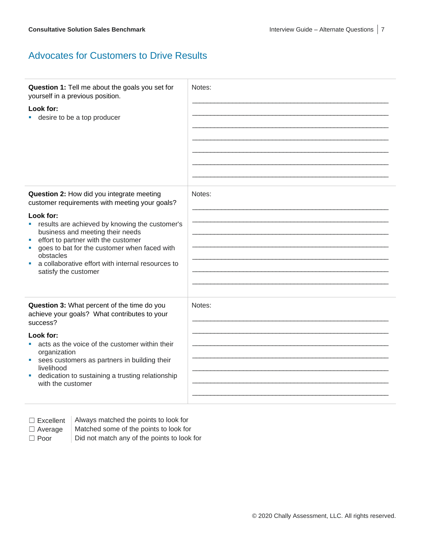#### Advocates for Customers to Drive Results

| Question 1: Tell me about the goals you set for<br>yourself in a previous position.<br>Look for:<br>desire to be a top producer                                                                                                                                                                                                                                                        | Notes: |
|----------------------------------------------------------------------------------------------------------------------------------------------------------------------------------------------------------------------------------------------------------------------------------------------------------------------------------------------------------------------------------------|--------|
| Question 2: How did you integrate meeting<br>customer requirements with meeting your goals?<br>Look for:<br>" results are achieved by knowing the customer's<br>business and meeting their needs<br>effort to partner with the customer<br>×<br>goes to bat for the customer when faced with<br>obstacles<br>a collaborative effort with internal resources to<br>satisfy the customer | Notes: |
| Question 3: What percent of the time do you<br>achieve your goals? What contributes to your<br>success?<br>Look for:<br>acts as the voice of the customer within their<br>organization<br>sees customers as partners in building their<br>M.<br>livelihood<br>dedication to sustaining a trusting relationship<br>ш<br>with the customer                                               | Notes: |

- 
- $\Box$  Excellent  $\parallel$  Always matched the points to look for
- 
- $\Box$  Average  $\parallel$  Matched some of the points to look for
- $\Box$  Poor  $\Box$  Did not match any of the points to look for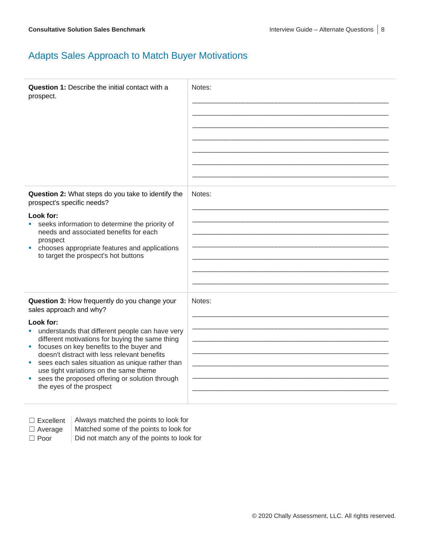## Adapts Sales Approach to Match Buyer Motivations

| <b>Question 1: Describe the initial contact with a</b><br>prospect.                                                                                                                                                                                                                                                                                                                                                                                                                 | Notes: |
|-------------------------------------------------------------------------------------------------------------------------------------------------------------------------------------------------------------------------------------------------------------------------------------------------------------------------------------------------------------------------------------------------------------------------------------------------------------------------------------|--------|
| Question 2: What steps do you take to identify the<br>prospect's specific needs?<br>Look for:<br>seeks information to determine the priority of<br>×<br>needs and associated benefits for each<br>prospect<br>chooses appropriate features and applications<br>a.<br>to target the prospect's hot buttons                                                                                                                                                                           | Notes: |
| Question 3: How frequently do you change your<br>sales approach and why?<br>Look for:<br>understands that different people can have very<br>different motivations for buying the same thing<br>focuses on key benefits to the buyer and<br>a.<br>doesn't distract with less relevant benefits<br>sees each sales situation as unique rather than<br>ш<br>use tight variations on the same theme<br>sees the proposed offering or solution through<br>u,<br>the eyes of the prospect | Notes: |

| Excellent |  |
|-----------|--|
|-----------|--|

Always matched the points to look for

 $\Box$  Average  $\parallel$  Matched some of the points to look for

 $\Box$  Poor  $\Box$  Did not match any of the points to look for